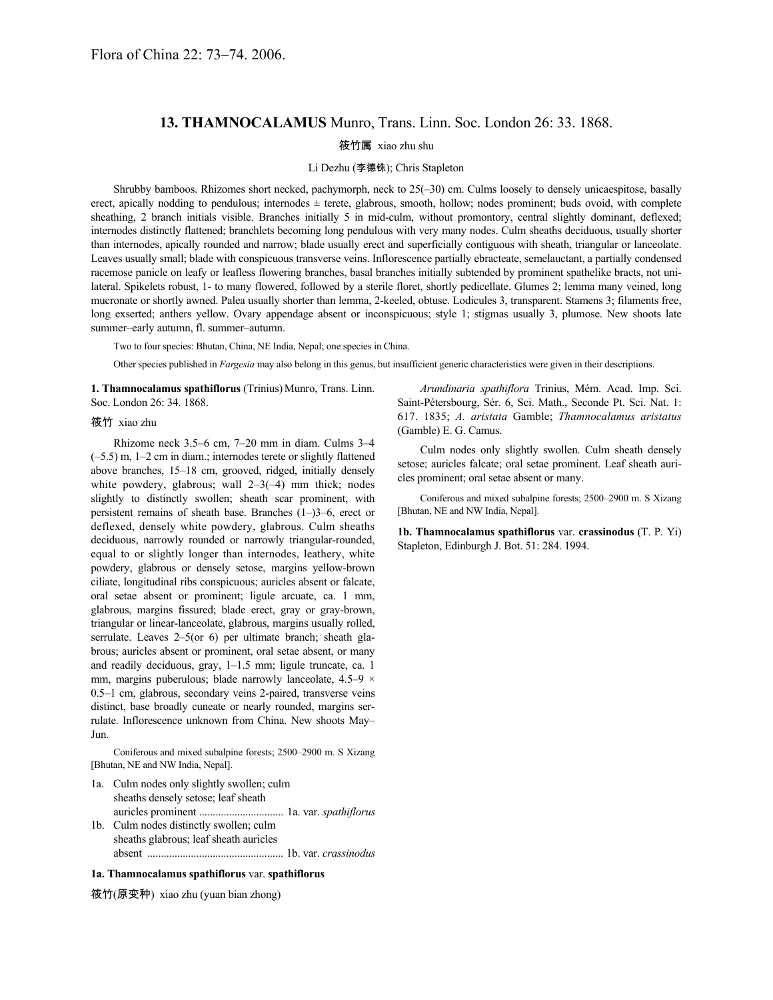## **13. THAMNOCALAMUS** Munro, Trans. Linn. Soc. London 26: 33. 1868.

#### 筱竹属 xiao zhu shu

#### Li Dezhu (李德铢); Chris Stapleton

Shrubby bamboos. Rhizomes short necked, pachymorph, neck to 25(–30) cm. Culms loosely to densely unicaespitose, basally erect, apically nodding to pendulous; internodes  $\pm$  terete, glabrous, smooth, hollow; nodes prominent; buds ovoid, with complete sheathing, 2 branch initials visible. Branches initially 5 in mid-culm, without promontory, central slightly dominant, deflexed; internodes distinctly flattened; branchlets becoming long pendulous with very many nodes. Culm sheaths deciduous, usually shorter than internodes, apically rounded and narrow; blade usually erect and superficially contiguous with sheath, triangular or lanceolate. Leaves usually small; blade with conspicuous transverse veins. Inflorescence partially ebracteate, semelauctant, a partially condensed racemose panicle on leafy or leafless flowering branches, basal branches initially subtended by prominent spathelike bracts, not unilateral. Spikelets robust, 1- to many flowered, followed by a sterile floret, shortly pedicellate. Glumes 2; lemma many veined, long mucronate or shortly awned. Palea usually shorter than lemma, 2-keeled, obtuse. Lodicules 3, transparent. Stamens 3; filaments free, long exserted; anthers yellow. Ovary appendage absent or inconspicuous; style 1; stigmas usually 3, plumose. New shoots late summer–early autumn, fl. summer–autumn.

Two to four species: Bhutan, China, NE India, Nepal; one species in China.

Other species published in *Fargesia* may also belong in this genus, but insufficient generic characteristics were given in their descriptions.

1. Thamnocalamus spathiflorus (Trinius) Munro, Trans. Linn. Soc. London 26: 34. 1868.

#### 筱竹 xiao zhu

Rhizome neck 3.5–6 cm, 7–20 mm in diam. Culms 3–4 (–5.5) m, 1–2 cm in diam.; internodes terete or slightly flattened above branches, 15–18 cm, grooved, ridged, initially densely white powdery, glabrous; wall  $2-3(-4)$  mm thick; nodes slightly to distinctly swollen; sheath scar prominent, with persistent remains of sheath base. Branches (1–)3–6, erect or deflexed, densely white powdery, glabrous. Culm sheaths deciduous, narrowly rounded or narrowly triangular-rounded, equal to or slightly longer than internodes, leathery, white powdery, glabrous or densely setose, margins yellow-brown ciliate, longitudinal ribs conspicuous; auricles absent or falcate, oral setae absent or prominent; ligule arcuate, ca. 1 mm, glabrous, margins fissured; blade erect, gray or gray-brown, triangular or linear-lanceolate, glabrous, margins usually rolled, serrulate. Leaves 2–5(or 6) per ultimate branch; sheath glabrous; auricles absent or prominent, oral setae absent, or many and readily deciduous, gray, 1–1.5 mm; ligule truncate, ca. 1 mm, margins puberulous; blade narrowly lanceolate,  $4.5-9 \times$ 0.5–1 cm, glabrous, secondary veins 2-paired, transverse veins distinct, base broadly cuneate or nearly rounded, margins serrulate. Inflorescence unknown from China. New shoots May– Jun.

Coniferous and mixed subalpine forests; 2500–2900 m. S Xizang [Bhutan, NE and NW India, Nepal].

- 1a. Culm nodes only slightly swollen; culm sheaths densely setose; leaf sheath auricles prominent ............................... 1a. var. *spathiflorus*
- 1b. Culm nodes distinctly swollen; culm sheaths glabrous; leaf sheath auricles absent .................................................. 1b. var. *crassinodus*

### **1a. Thamnocalamus spathiflorus** var. **spathiflorus**

筱竹(原变种) xiao zhu (yuan bian zhong)

*Arundinaria spathiflora* Trinius, Mém. Acad. Imp. Sci. Saint-Pétersbourg, Sér. 6, Sci. Math., Seconde Pt. Sci. Nat. 1: 617. 1835; *A. aristata* Gamble; *Thamnocalamus aristatus* (Gamble) E. G. Camus.

Culm nodes only slightly swollen. Culm sheath densely setose; auricles falcate; oral setae prominent. Leaf sheath auricles prominent; oral setae absent or many.

Coniferous and mixed subalpine forests; 2500–2900 m. S Xizang [Bhutan, NE and NW India, Nepal].

**1b. Thamnocalamus spathiflorus** var. **crassinodus** (T. P. Yi) Stapleton, Edinburgh J. Bot. 51: 284. 1994.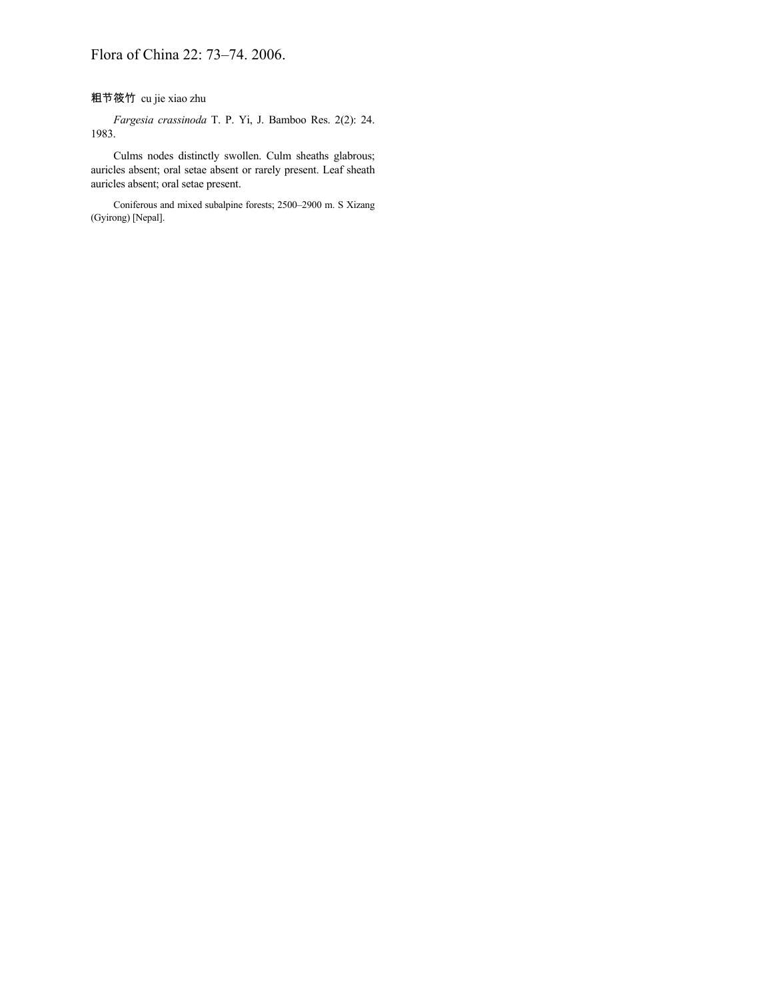# 粗节筱竹 cu jie xiao zhu

*Fargesia crassinoda* T. P. Yi, J. Bamboo Res. 2(2): 24. 1983.

Culms nodes distinctly swollen. Culm sheaths glabrous; auricles absent; oral setae absent or rarely present. Leaf sheath auricles absent; oral setae present.

Coniferous and mixed subalpine forests; 2500–2900 m. S Xizang (Gyirong) [Nepal].